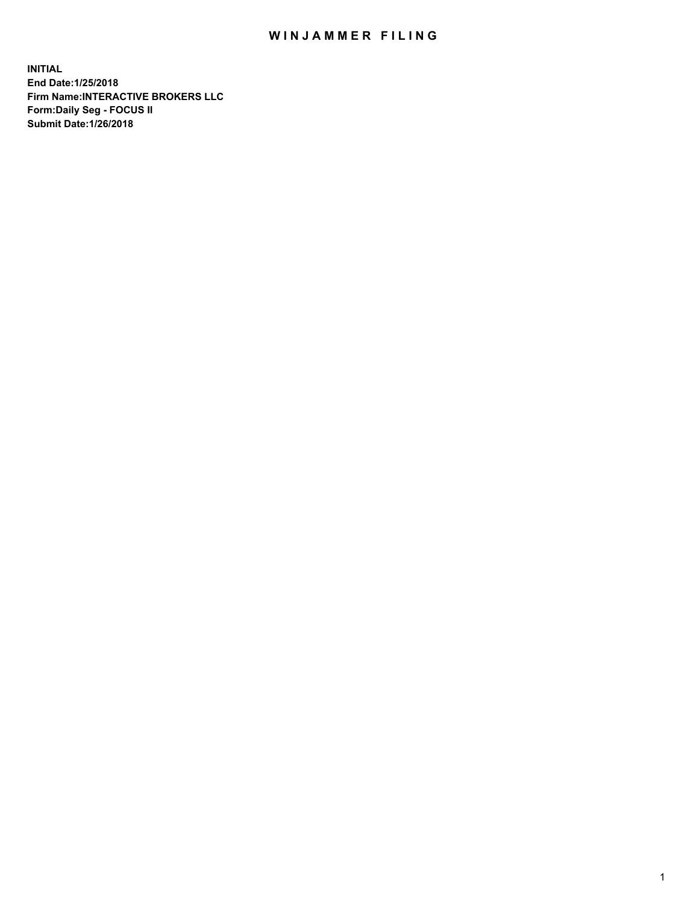## WIN JAMMER FILING

**INITIAL End Date:1/25/2018 Firm Name:INTERACTIVE BROKERS LLC Form:Daily Seg - FOCUS II Submit Date:1/26/2018**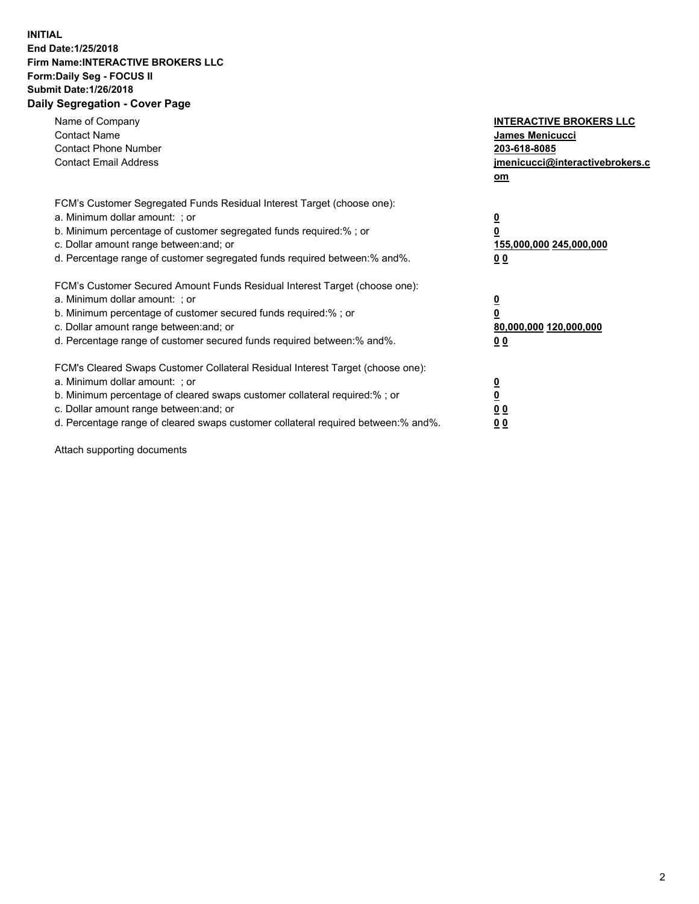## **INITIAL End Date:1/25/2018 Firm Name:INTERACTIVE BROKERS LLC Form:Daily Seg - FOCUS II Submit Date:1/26/2018 Daily Segregation - Cover Page**

| Name of Company<br><b>Contact Name</b><br><b>Contact Phone Number</b><br><b>Contact Email Address</b>                                                                                                                                                                                                                          | <b>INTERACTIVE BROKERS LLC</b><br>James Menicucci<br>203-618-8085<br>jmenicucci@interactivebrokers.c<br>om |
|--------------------------------------------------------------------------------------------------------------------------------------------------------------------------------------------------------------------------------------------------------------------------------------------------------------------------------|------------------------------------------------------------------------------------------------------------|
| FCM's Customer Segregated Funds Residual Interest Target (choose one):<br>a. Minimum dollar amount: ; or<br>b. Minimum percentage of customer segregated funds required:%; or<br>c. Dollar amount range between: and; or<br>d. Percentage range of customer segregated funds required between:% and%.                          | $\overline{\mathbf{0}}$<br>0<br>155,000,000 245,000,000<br>0 <sub>0</sub>                                  |
| FCM's Customer Secured Amount Funds Residual Interest Target (choose one):<br>a. Minimum dollar amount: ; or<br>b. Minimum percentage of customer secured funds required:%; or<br>c. Dollar amount range between: and; or<br>d. Percentage range of customer secured funds required between:% and%.                            | $\overline{\mathbf{0}}$<br>$\overline{\mathbf{0}}$<br>80,000,000 120,000,000<br>00                         |
| FCM's Cleared Swaps Customer Collateral Residual Interest Target (choose one):<br>a. Minimum dollar amount: ; or<br>b. Minimum percentage of cleared swaps customer collateral required:% ; or<br>c. Dollar amount range between: and; or<br>d. Percentage range of cleared swaps customer collateral required between:% and%. | $\overline{\mathbf{0}}$<br>$\overline{\mathbf{0}}$<br>0 <sub>0</sub><br><u>00</u>                          |

Attach supporting documents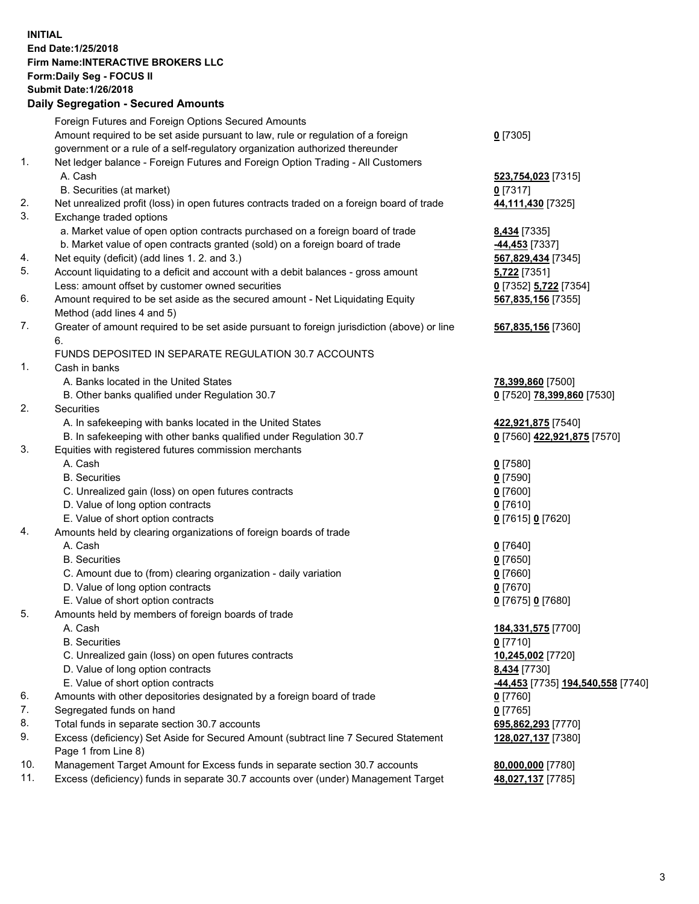## **INITIAL End Date:1/25/2018 Firm Name:INTERACTIVE BROKERS LLC Form:Daily Seg - FOCUS II Submit Date:1/26/2018 Daily Segregation - Secured Amounts**

|                | Daily Jegregation - Jeculed Aniounts                                                                       |                                   |
|----------------|------------------------------------------------------------------------------------------------------------|-----------------------------------|
|                | Foreign Futures and Foreign Options Secured Amounts                                                        |                                   |
|                | Amount required to be set aside pursuant to law, rule or regulation of a foreign                           | $0$ [7305]                        |
|                | government or a rule of a self-regulatory organization authorized thereunder                               |                                   |
| 1.             | Net ledger balance - Foreign Futures and Foreign Option Trading - All Customers                            |                                   |
|                | A. Cash                                                                                                    | 523,754,023 [7315]                |
|                | B. Securities (at market)                                                                                  | $0$ [7317]                        |
| 2.             | Net unrealized profit (loss) in open futures contracts traded on a foreign board of trade                  | 44,111,430 [7325]                 |
| 3.             | Exchange traded options                                                                                    |                                   |
|                | a. Market value of open option contracts purchased on a foreign board of trade                             | 8,434 [7335]                      |
|                | b. Market value of open contracts granted (sold) on a foreign board of trade                               | -44,453 <sup>[7337]</sup>         |
| 4.             | Net equity (deficit) (add lines 1.2. and 3.)                                                               | 567,829,434 [7345]                |
| 5.             | Account liquidating to a deficit and account with a debit balances - gross amount                          | 5,722 [7351]                      |
|                | Less: amount offset by customer owned securities                                                           | 0 [7352] 5,722 [7354]             |
| 6.             | Amount required to be set aside as the secured amount - Net Liquidating Equity                             | 567,835,156 [7355]                |
|                | Method (add lines 4 and 5)                                                                                 |                                   |
| 7.             | Greater of amount required to be set aside pursuant to foreign jurisdiction (above) or line                | 567,835,156 [7360]                |
|                | 6.                                                                                                         |                                   |
|                | FUNDS DEPOSITED IN SEPARATE REGULATION 30.7 ACCOUNTS                                                       |                                   |
| $\mathbf{1}$ . | Cash in banks                                                                                              |                                   |
|                | A. Banks located in the United States                                                                      | 78,399,860 [7500]                 |
|                | B. Other banks qualified under Regulation 30.7                                                             | 0 [7520] 78,399,860 [7530]        |
| 2.             | Securities                                                                                                 |                                   |
|                | A. In safekeeping with banks located in the United States                                                  | 422,921,875 [7540]                |
|                | B. In safekeeping with other banks qualified under Regulation 30.7                                         | 0 [7560] 422,921,875 [7570]       |
| 3.             | Equities with registered futures commission merchants                                                      |                                   |
|                | A. Cash                                                                                                    | $0$ [7580]                        |
|                | <b>B.</b> Securities                                                                                       | $0$ [7590]                        |
|                | C. Unrealized gain (loss) on open futures contracts                                                        | $0$ [7600]                        |
|                | D. Value of long option contracts                                                                          | $0$ [7610]                        |
|                | E. Value of short option contracts                                                                         | 0 [7615] 0 [7620]                 |
| 4.             | Amounts held by clearing organizations of foreign boards of trade                                          |                                   |
|                | A. Cash                                                                                                    | $0$ [7640]                        |
|                | <b>B.</b> Securities                                                                                       | $0$ [7650]                        |
|                | C. Amount due to (from) clearing organization - daily variation                                            | $0$ [7660]                        |
|                | D. Value of long option contracts                                                                          | $0$ [7670]                        |
|                | E. Value of short option contracts                                                                         | 0 [7675] 0 [7680]                 |
| 5.             | Amounts held by members of foreign boards of trade                                                         |                                   |
|                | A. Cash                                                                                                    | 184,331,575 [7700]                |
|                | <b>B.</b> Securities                                                                                       | $0$ [7710]                        |
|                | C. Unrealized gain (loss) on open futures contracts                                                        | 10,245,002 [7720]                 |
|                | D. Value of long option contracts                                                                          | 8,434 [7730]                      |
|                | E. Value of short option contracts                                                                         | -44,453 [7735] 194,540,558 [7740] |
| 6.             | Amounts with other depositories designated by a foreign board of trade                                     | $0$ [7760]                        |
| 7.             | Segregated funds on hand                                                                                   | $0$ [7765]                        |
| 8.             | Total funds in separate section 30.7 accounts                                                              | 695,862,293 [7770]                |
| 9.             | Excess (deficiency) Set Aside for Secured Amount (subtract line 7 Secured Statement<br>Page 1 from Line 8) | 128,027,137 [7380]                |
| 10.            | Management Target Amount for Excess funds in separate section 30.7 accounts                                | 80,000,000 [7780]                 |
| 11.            | Excess (deficiency) funds in separate 30.7 accounts over (under) Management Target                         | 48,027,137 [7785]                 |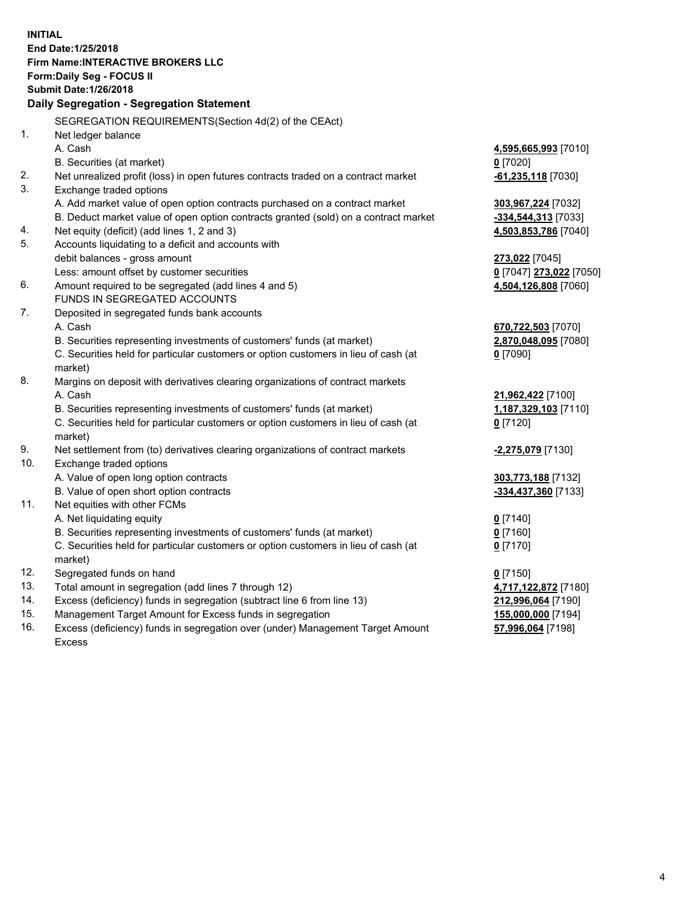**INITIAL End Date:1/25/2018 Firm Name:INTERACTIVE BROKERS LLC Form:Daily Seg - FOCUS II Submit Date:1/26/2018 Daily Segregation - Segregation Statement** SEGREGATION REQUIREMENTS(Section 4d(2) of the CEAct) 1. Net ledger balance A. Cash **4,595,665,993** [7010] B. Securities (at market) **0** [7020] 2. Net unrealized profit (loss) in open futures contracts traded on a contract market **-61,235,118** [7030] 3. Exchange traded options A. Add market value of open option contracts purchased on a contract market **303,967,224** [7032] B. Deduct market value of open option contracts granted (sold) on a contract market **-334,544,313** [7033] 4. Net equity (deficit) (add lines 1, 2 and 3) **4,503,853,786** [7040] 5. Accounts liquidating to a deficit and accounts with debit balances - gross amount **273,022** [7045] Less: amount offset by customer securities **0** [7047] **273,022** [7050] 6. Amount required to be segregated (add lines 4 and 5) **4,504,126,808** [7060] FUNDS IN SEGREGATED ACCOUNTS 7. Deposited in segregated funds bank accounts A. Cash **670,722,503** [7070] B. Securities representing investments of customers' funds (at market) **2,870,048,095** [7080] C. Securities held for particular customers or option customers in lieu of cash (at market) **0** [7090] 8. Margins on deposit with derivatives clearing organizations of contract markets A. Cash **21,962,422** [7100] B. Securities representing investments of customers' funds (at market) **1,187,329,103** [7110] C. Securities held for particular customers or option customers in lieu of cash (at market) **0** [7120] 9. Net settlement from (to) derivatives clearing organizations of contract markets **-2,275,079** [7130] 10. Exchange traded options A. Value of open long option contracts **303,773,188** [7132] B. Value of open short option contracts **-334,437,360** [7133] 11. Net equities with other FCMs A. Net liquidating equity **0** [7140] B. Securities representing investments of customers' funds (at market) **0** [7160] C. Securities held for particular customers or option customers in lieu of cash (at market) **0** [7170] 12. Segregated funds on hand **0** [7150] 13. Total amount in segregation (add lines 7 through 12) **4,717,122,872** [7180] 14. Excess (deficiency) funds in segregation (subtract line 6 from line 13) **212,996,064** [7190] 15. Management Target Amount for Excess funds in segregation **155,000,000** [7194]

16. Excess (deficiency) funds in segregation over (under) Management Target Amount Excess

**57,996,064** [7198]